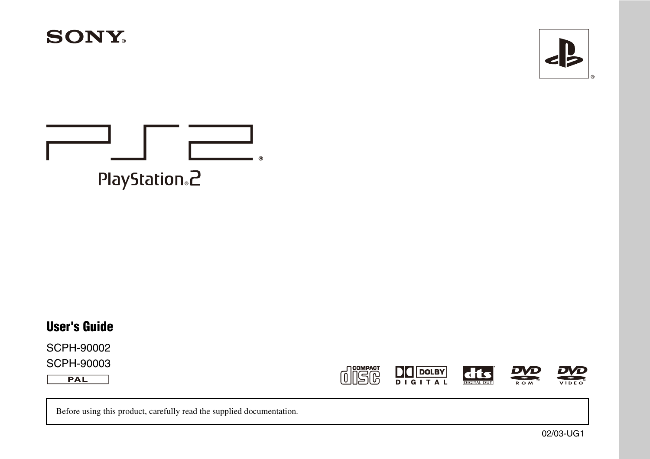



# $^{\circ}$ PlayStation<sub>®</sub>2

### **User's Guide**

SCPH-90002 SCPH-90003

 $PAL$ 







 $\sum_{\kappa \in \mathcal{M}}$ 

Before using this product, carefully read the supplied documentation.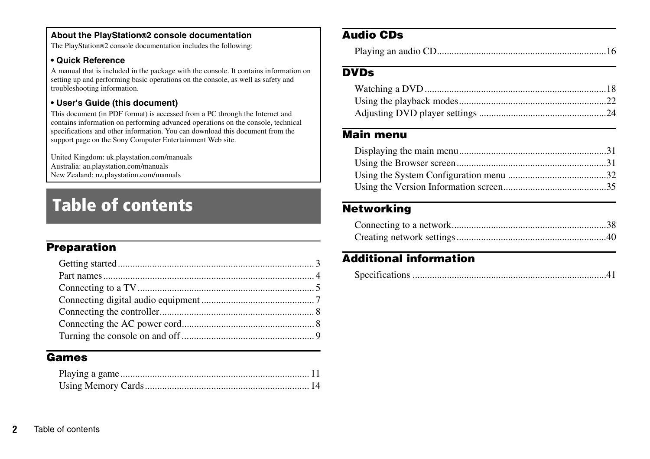#### **About the PlayStation®2 console documentation**

The PlayStation®2 console documentation includes the following:

#### <span id="page-1-0"></span>**• Quick Reference**

A manual that is included in the package with the console. It contains information on setting up and performing basic operations on the console, as well as safety and troubleshooting information.

#### **• User's Guide (this document)**

This document (in PDF format) is accessed from a PC through the Internet and contains information on performing advanced operations on the console, technical specifications and other information. You can download this document from the support page on the Sony Computer Entertainment Web site.

United Kingdom: uk.playstation.com/manuals Australia: au.playstation.com/manuals New Zealand: nz.playstation.com/manuals

# Table of contents

### **[Preparation](#page-2-0)**

#### **[Games](#page-10-0)**

### **[Audio CDs](#page-15-0)**

|--|--|

### **[DVDs](#page-17-0)**

### **[Main menu](#page-30-0)**

### **[Networking](#page-37-0)**

### **[Additional information](#page-40-0)**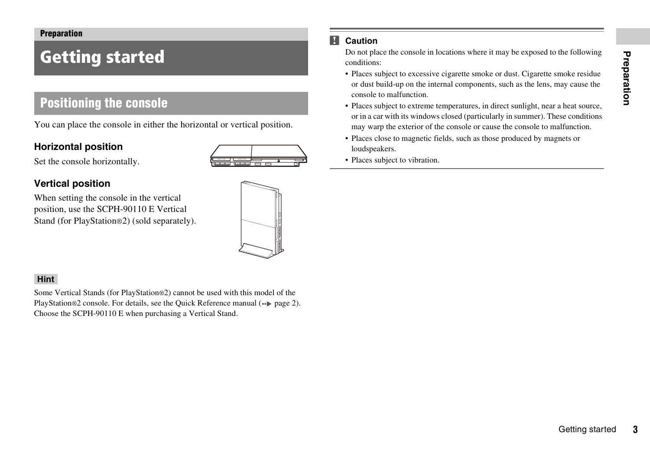#### <span id="page-2-0"></span>**Preparation**

# <span id="page-2-1"></span>Getting started

## **Positioning the console**

You can place the console in either the horizontal or vertical position.

#### **Horizontal position**



Set the console horizontally.

### **Vertical position**

When setting the console in the vertical position, use the SCPH-90110 E Vertical Stand (for PlayStation®2) (sold separately).

#### **Hint**

Some Vertical Stands (for PlayStation®2) cannot be used with this model of the PlayStation®2 console. For details, see the Quick Reference manual (•• [page 2\)](#page-1-0). Choose the SCPH-90110 E when purchasing a Vertical Stand.

#### М **Caution**

Do not place the console in locations where it may be exposed to the following conditions:

- moke residue<br>moke residue<br>ay cause the<br>a heat source,<br>affunction.<br>Ifunction.<br>nets or<br>Gettling started • Places subject to excessive cigarette smoke or dust. Cigarette smoke residue or dust build-up on the internal components, such as the lens, may cause the console to malfunction.
- Places subject to extreme temperatures, in direct sunlight, near a heat source, or in a car with its windows closed (particularly in summer). These conditions may warp the exterior of the console or cause the console to malfunction.
- Places close to magnetic fields, such as those produced by magnets or loudspeakers.
- Places subject to vibration.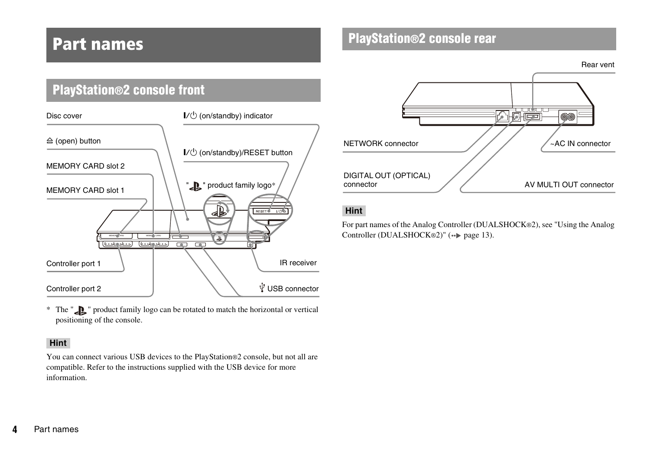## <span id="page-3-0"></span>Part names

#### **PlayStation®2 console front**  $\mathsf{I}/\mathsf{U}$  (on/standby) indicator Disc cover  $\triangle$  (open) button  $\mathsf{I}/\mathsf{U}$  (on/standby)/RESET button MEMORY CARD slot 2 ">" product family logo MEMORY CARD slot 1 € RESET<sup>O</sup>  $\top$ 后与  $\boxed{\textcolor{red}{\blacktriangle}}$ <u>(600640600) (600600600) [A]</u> IR receiver Controller port 1 USB connector Controller port 2

\* The "  $\sum$  " product family logo can be rotated to match the horizontal or vertical positioning of the console.

#### **Hint**

You can connect various USB devices to the PlayStation®2 console, but not all are compatible. Refer to the instructions supplied with the USB device for more information.

### **PlayStation®2 console rear**

Rear vent



#### **Hint**

For part names of the Analog Controller (DUALSHOCK®2), see "Using the Analog Controller (DUALSHOCK®2)" (•• [page 13](#page-12-0)).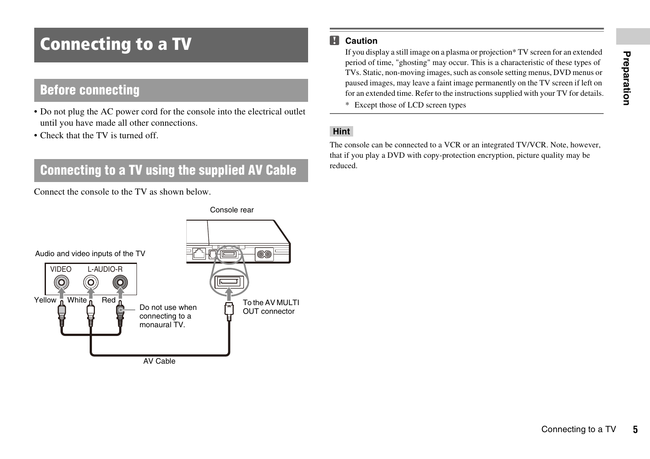# <span id="page-4-1"></span><span id="page-4-0"></span>Connecting to a TV

### **Before connecting**

- Do not plug the AC power cord for the console into the electrical outlet until you have made all other connections.
- Check that the TV is turned off.

## **Connecting to a TV using the supplied AV Cable**

Connect the console to the TV as shown below.

#### м **Caution**

Exercit of these types of<br>c f these types of<br>IV screen if left on<br>your TV for details.<br>R. Note, however,<br>quality may be<br>Connecting to a TV 5 If you display a still image on a plasma or projection\* TV screen for an extended period of time, "ghosting" may occur. This is a characteristic of these types of TVs. Static, non-moving images, such as console setting menus, DVD menus or paused images, may leave a faint image permanently on the TV screen if left on for an extended time. Refer to the instructions supplied with your TV for details.

\* Except those of LCD screen types

#### **Hint**

The console can be connected to a VCR or an integrated TV/VCR. Note, however, that if you play a DVD with copy-protection encryption, picture quality may be reduced.

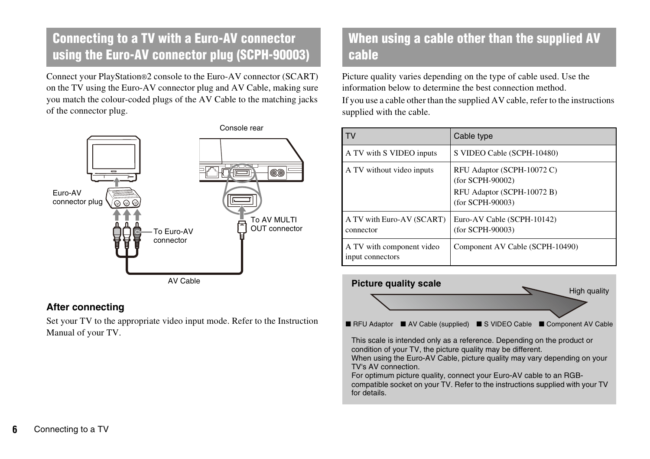## **Connecting to a TV with a Euro-AV connector using the Euro-AV connector plug (SCPH-90003)**

Connect your PlayStation®2 console to the Euro-AV connector (SCART) on the TV using the Euro-AV connector plug and AV Cable, making sure you match the colour-coded plugs of the AV Cable to the matching jacks of the connector plug.



### **After connecting**

Set your TV to the appropriate video input mode. Refer to the Instruction Manual of your TV.

## **When using a cable other than the supplied AV cable**

Picture quality varies depending on the type of cable used. Use the information below to determine the best connection method. If you use a cable other than the supplied AV cable, refer to the instructions supplied with the cable.

|                                               | Cable type                                                                                       |
|-----------------------------------------------|--------------------------------------------------------------------------------------------------|
| A TV with S VIDEO inputs                      | S VIDEO Cable (SCPH-10480)                                                                       |
| A TV without video inputs                     | RFU Adaptor (SCPH-10072 C)<br>(for SCPH-90002)<br>RFU Adaptor (SCPH-10072 B)<br>(for SCPH-90003) |
| A TV with Euro-AV (SCART)<br>connector        | Euro-AV Cable (SCPH-10142)<br>(for SCPH-90003)                                                   |
| A TV with component video<br>input connectors | Component AV Cable (SCPH-10490)                                                                  |



 $\blacksquare$  RFU Adaptor  $\blacksquare$  AV Cable (supplied)  $\blacksquare$  S VIDEO Cable  $\blacksquare$  Component AV Cable

This scale is intended only as a reference. Depending on the product or condition of your TV, the picture quality may be different. When using the Euro-AV Cable, picture quality may vary depending on your

TV's AV connection.

For optimum picture quality, connect your Euro-AV cable to an RGBcompatible socket on your TV. Refer to the instructions supplied with your TV for details.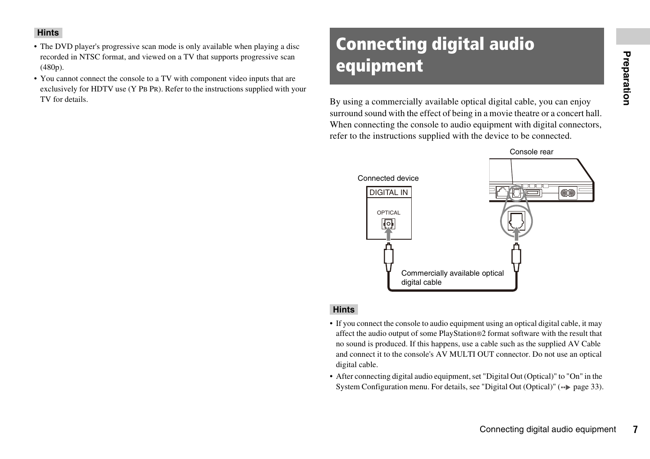#### **Hints**

- The DVD player's progressive scan mode is only available when playing a disc recorded in NTSC format, and viewed on a TV that supports progressive scan (480p).
- You cannot connect the console to a TV with component video inputs that are exclusively for HDTV use (Y PB PR). Refer to the instructions supplied with your TV for details. By using a commercially available optical digital cable, you can enjoy

# <span id="page-6-1"></span><span id="page-6-0"></span>Connecting digital audio equipment

surround sound with the effect of being in a movie theatre or a concert hall. When connecting the console to audio equipment with digital connectors, refer to the instructions supplied with the device to be connected.



#### **Hints**

- If you connect the console to audio equipment using an optical digital cable, it may affect the audio output of some PlayStation®2 format software with the result that no sound is produced. If this happens, use a cable such as the supplied AV Cable and connect it to the console's AV MULTI OUT connector. Do not use an optical digital cable.
- After connecting digital audio equipment, set "Digital Out (Optical)" to "On" in the System Configuration menu. For details, see "Digital Out (Optical)"  $\leftrightarrow$  [page 33](#page-32-0)).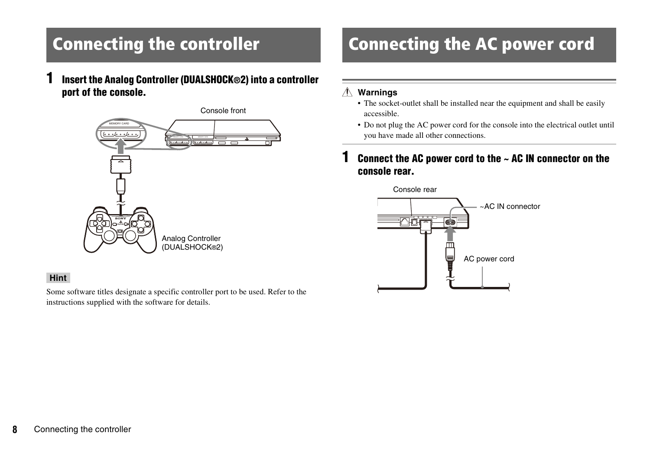# <span id="page-7-2"></span><span id="page-7-0"></span>Connecting the controller

**1 Insert the Analog Controller (DUALSHOCK®2) into a controller port of the console.**



#### **Hint**

Some software titles designate a specific controller port to be used. Refer to the instructions supplied with the software for details.

# <span id="page-7-3"></span><span id="page-7-1"></span>Connecting the AC power cord

#### **Warnings** Æ

- The socket-outlet shall be installed near the equipment and shall be easily accessible.
- Do not plug the AC power cord for the console into the electrical outlet until you have made all other connections.

### **1 Connect the AC power cord to the ~ AC IN connector on the console rear.**

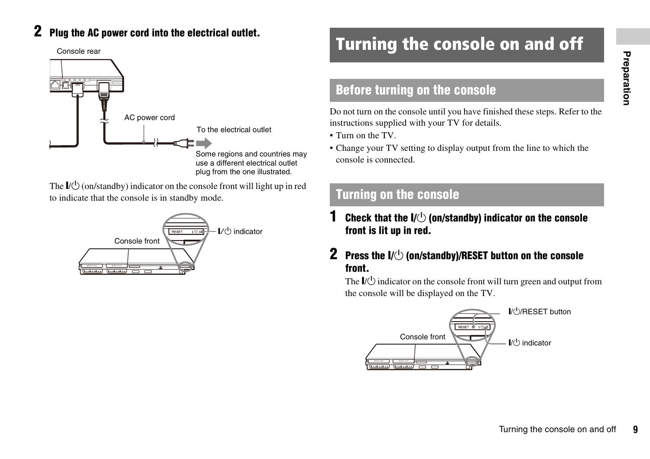## **2 Plug the AC power cord into the electrical outlet.**

Console rear



The  $\mathbb{I}(\mathbb{I})$  (on/standby) indicator on the console front will light up in red to indicate that the console is in standby mode.



# <span id="page-8-0"></span>Turning the console on and off

### **Before turning on the console**

Do not turn on the console until you have finished these steps. Refer to the instructions supplied with your TV for details.

• Turn on the TV.

• Change your TV setting to display output from the line to which the console is connected.

### <span id="page-8-1"></span>**Turning on the console**

**Check that the**  $I/\bigcirc$  **(on/standby) indicator on the console**  $I$ **front is lit up in red.**

### **2 Press the I/** $\circlearrowleft$  **(on/standby)/RESET button on the console front.**

The  $\mathbb{I}(\mathbb{I})$  indicator on the console front will turn green and output from the console will be displayed on the TV.

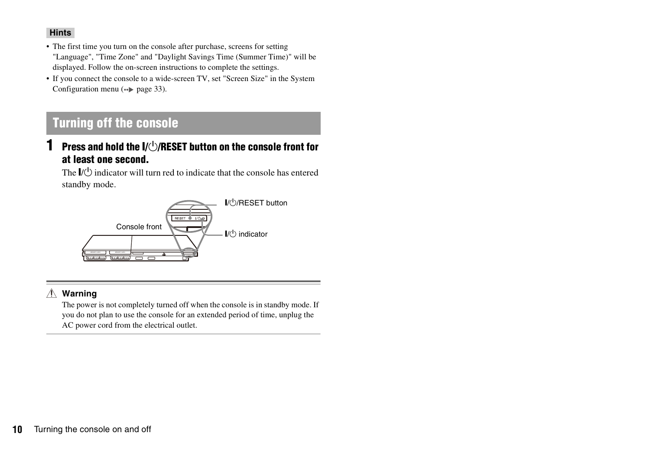#### **Hints**

- The first time you turn on the console after purchase, screens for setting "Language", "Time Zone" and "Daylight Savings Time (Summer Time)" will be displayed. Follow the on-screen instructions to complete the settings.
- If you connect the console to a wide-screen TV, set "Screen Size" in the System Configuration menu  $(\rightarrow \rightarrow \text{page 33}).$

### **Turning off the console**

### **1 Press and hold the I/** $\bigcirc$ **/RESET button on the console front for at least one second.**

The  $\mathbb{I}(\mathbb{I})$  indicator will turn red to indicate that the console has entered standby mode.



#### **Warning**

The power is not completely turned off when the console is in standby mode. If you do not plan to use the console for an extended period of time, unplug the AC power cord from the electrical outlet.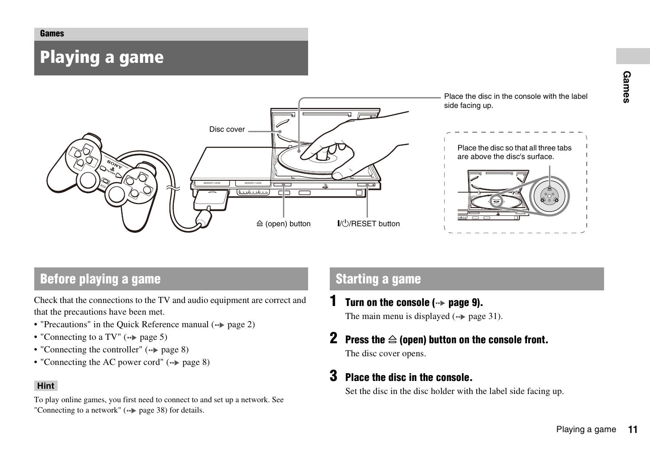#### <span id="page-10-0"></span>**Games**

# <span id="page-10-1"></span>Playing a game



### **Before playing a game Starting a game**

Check that the connections to the TV and audio equipment are correct and that the precautions have been met.

- "Precautions" in the Quick Reference manual  $(\rightarrow \rightarrow$  [page 2\)](#page-1-0)
- "Connecting to a TV"  $(\rightarrow \rightarrow \text{page 5})$
- "Connecting the controller"  $(\rightarrow \rightarrow \text{page } 8)$
- "Connecting the AC power cord" ( [page 8](#page-7-3))

#### **Hint**

To play online games, you first need to connect to and set up a network. See "Connecting to a network"  $(**)$  [page 38\)](#page-37-2) for details.

<span id="page-10-2"></span>**1 Turn on the console ( [page 9\)](#page-8-1).**

The main menu is displayed  $\leftrightarrow$  [page 31\)](#page-30-3).

**2** Press the  $\triangleq$  (open) button on the console front. The disc cover opens.

### **3 Place the disc in the console.**

Set the disc in the disc holder with the label side facing up.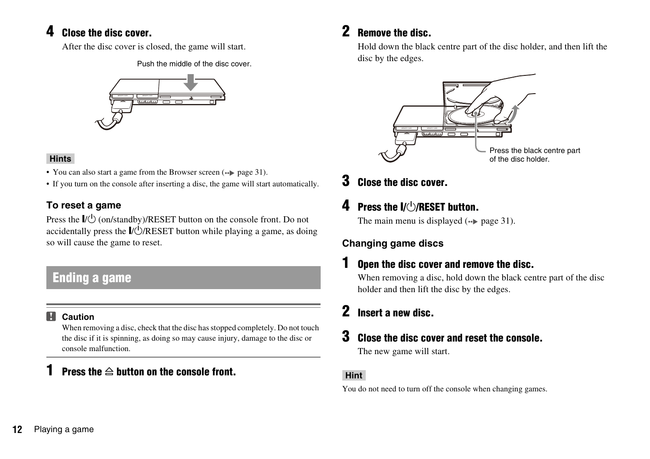### **4 Close the disc cover.**

After the disc cover is closed, the game will start.

Push the middle of the disc cover.



#### **Hints**

- You can also start a game from the Browser screen ( $\bullet\bullet$ ) [page 31\)](#page-30-4).
- If you turn on the console after inserting a disc, the game will start automatically.

### **To reset a game**

Press the  $\|/\rangle$  (on/standby)/RESET button on the console front. Do not accidentally press the  $\mathbb{I}/\mathbb{Q}/\mathbb{R}$ ESET button while playing a game, as doing so will cause the game to reset.

## **Ending a game**

#### **Caution** II.

When removing a disc, check that the disc has stopped completely. Do not touch the disc if it is spinning, as doing so may cause injury, damage to the disc or console malfunction.

### **Press the**  $\triangleq$  **button on the console front.**

### **2 Remove the disc.**

Hold down the black centre part of the disc holder, and then lift the disc by the edges.



**3 Close the disc cover.**

## **4 Press the I/(1)RESET button.**

The main menu is displayed  $(\rightarrow \rightarrow \text{page 31}).$ 

### **Changing game discs**

### **1 Open the disc cover and remove the disc.**

When removing a disc, hold down the black centre part of the disc holder and then lift the disc by the edges.

## **2 Insert a new disc.**

### **3 Close the disc cover and reset the console.**

The new game will start.

#### **Hint**

You do not need to turn off the console when changing games.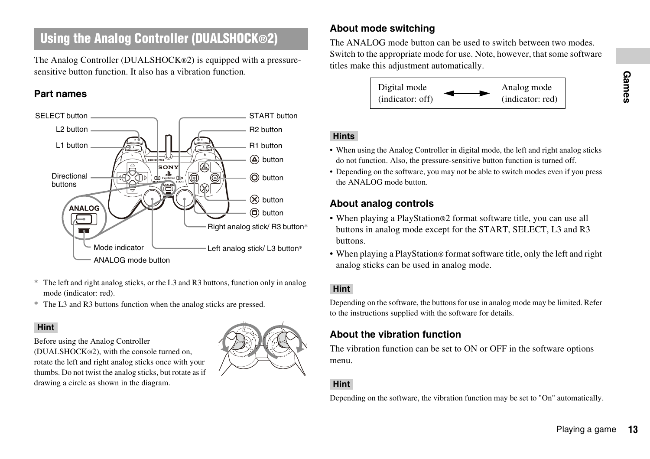## <span id="page-12-0"></span>**Using the Analog Controller (DUALSHOCK®2)**

The Analog Controller (DUALSHOCK®2) is equipped with a pressuresensitive button function. It also has a vibration function.

#### **Part names**



- \* The left and right analog sticks, or the L3 and R3 buttons, function only in analog mode (indicator: red).
- \* The L3 and R3 buttons function when the analog sticks are pressed.

#### **Hint**

Before using the Analog Controller

(DUALSHOCK®2), with the console turned on, rotate the left and right analog sticks once with your thumbs. Do not twist the analog sticks, but rotate as if drawing a circle as shown in the diagram.



### **About mode switching**

The ANALOG mode button can be used to switch between two modes. Switch to the appropriate mode for use. Note, however, that some software titles make this adjustment automatically.



#### **Hints**

- When using the Analog Controller in digital mode, the left and right analog sticks do not function. Also, the pressure-sensitive button function is turned off.
- Depending on the software, you may not be able to switch modes even if you press the ANALOG mode button.

### **About analog controls**

- Property and a malog sticks<br>ed off.<br>en if you press<br>in use all<br>3 and R3<br>left and right<br>limited. Refer<br>re options<br>automatically.<br>Playing a game • When playing a PlayStation®2 format software title, you can use all buttons in analog mode except for the START, SELECT, L3 and R3 buttons.
- When playing a PlayStation® format software title, only the left and right analog sticks can be used in analog mode.

#### **Hint**

Depending on the software, the buttons for use in analog mode may be limited. Refer to the instructions supplied with the software for details.

#### **About the vibration function**

The vibration function can be set to ON or OFF in the software options menu.

#### **Hint**

Depending on the software, the vibration function may be set to "On" automatically.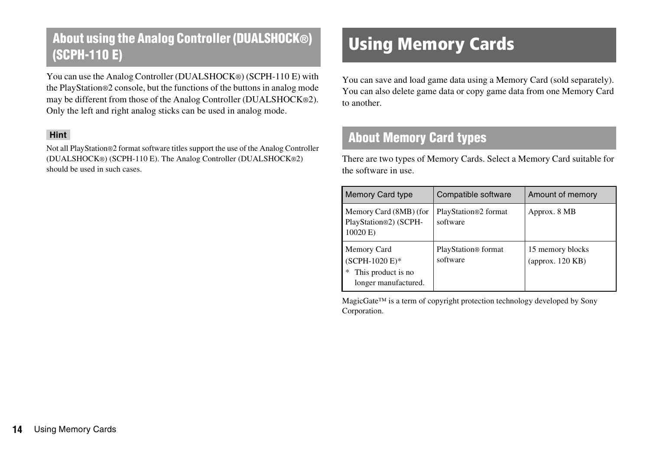## **About using the Analog Controller (DUALSHOCK®)**  About using the Analo<del>g Controller (DUALSHUCK®)</del> Using Memory Cards

You can use the Analog Controller (DUALSHOCK®) (SCPH-110 E) with the PlayStation®2 console, but the functions of the buttons in analog mode may be different from those of the Analog Controller (DUALSHOCK®2). Only the left and right analog sticks can be used in analog mode.

#### **Hint**

Not all PlayStation®2 format software titles support the use of the Analog Controller (DUALSHOCK®) (SCPH-110 E). The Analog Controller (DUALSHOCK®2) should be used in such cases.

<span id="page-13-0"></span>You can save and load game data using a Memory Card (sold separately). You can also delete game data or copy game data from one Memory Card to another.

### **About Memory Card types**

There are two types of Memory Cards. Select a Memory Card suitable for the software in use.

| Memory Card type                                                            | Compatible software              | Amount of memory                     |
|-----------------------------------------------------------------------------|----------------------------------|--------------------------------------|
| Memory Card (8MB) (for<br>PlayStation®2) (SCPH-<br>10020 E)                 | PlayStation®2 format<br>software | Approx. 8 MB                         |
| Memory Card<br>(SCPH-1020 E)*<br>This product is no<br>longer manufactured. | PlayStation® format<br>software  | 15 memory blocks<br>(approx. 120 KB) |

MagicGate™ is a term of copyright protection technology developed by Sony Corporation.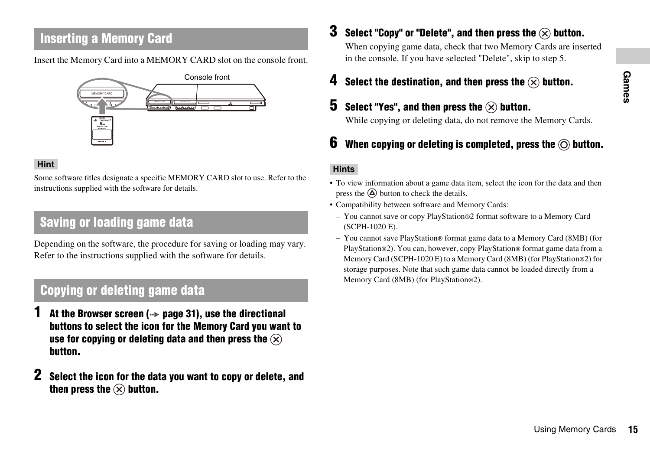### **Inserting a Memory Card**

Insert the Memory Card into a MEMORY CARD slot on the console front.



#### **Hint**

Some software titles designate a specific MEMORY CARD slot to use. Refer to the instructions supplied with the software for details.

### **Saving or loading game data**

Depending on the software, the procedure for saving or loading may vary. Refer to the instructions supplied with the software for details.

### <span id="page-14-0"></span>**Copying or deleting game data**

- **1 At the Browser screen ( [page 31\)](#page-30-4), use the directional buttons to select the icon for the Memory Card you want to use for copying or deleting data and then press the button.**
- **2 Select the icon for the data you want to copy or delete, and**  then press the  $\left(\times\right)$  button.

**3 Select "Copy" or "Delete", and then press the**  $\widehat{\infty}$  **button.** 

When copying game data, check that two Memory Cards are inserted in the console. If you have selected "Delete", skip to step 5.

**4 Select the destination, and then press the**  $\widehat{\infty}$  **button.** 

### **5** Select "Yes", and then press the  $\widehat{\infty}$  button.

While copying or deleting data, do not remove the Memory Cards.

### **6** When copying or deleting is completed, press the  $\circledcirc$  button.

#### **Hints**

- To view information about a game data item, select the icon for the data and then press the  $\overline{a}$  button to check the details.
- Compatibility between software and Memory Cards:
	- You cannot save or copy PlayStation®2 format software to a Memory Card (SCPH-1020 E).
- Using Memory Cards **15 Games** – You cannot save PlayStation® format game data to a Memory Card (8MB) (for PlayStation®2). You can, however, copy PlayStation® format game data from a Memory Card (SCPH-1020 E) to a Memory Card (8MB) (for PlayStation®2) for storage purposes. Note that such game data cannot be loaded directly from a Memory Card (8MB) (for PlayStation®2).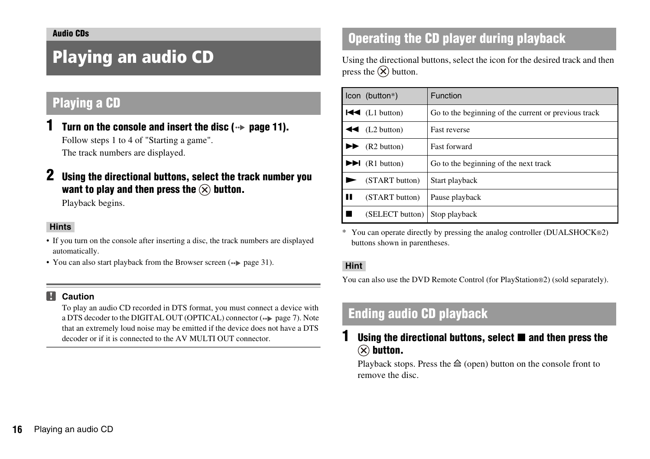# <span id="page-15-2"></span><span id="page-15-1"></span><span id="page-15-0"></span>Playing an audio CD

## **Playing a CD**

- Turn on the console and insert the disc  $(\cdot \cdot)$  [page 11\)](#page-10-2). Follow steps 1 to 4 of ["Starting a game"](#page-10-2). The track numbers are displayed.
- **2 Using the directional buttons, select the track number you want to play and then press the**  $\widehat{\times}$  **button.**

Playback begins.

#### **Hints**

- If you turn on the console after inserting a disc, the track numbers are displayed automatically.
- You can also start playback from the Browser screen (•• [page 31](#page-30-4)).

#### M **Caution**

To play an audio CD recorded in DTS format, you must connect a device with a DTS decoder to the DIGITAL OUT (OPTICAL) connector  $(\cdot \cdot)$  [page 7\)](#page-6-1). Note that an extremely loud noise may be emitted if the device does not have a DTS decoder or if it is connected to the AV MULTI OUT connector.

## **Operating the CD player during playback**

Using the directional buttons, select the icon for the desired track and then press the  $(\widehat{\mathsf{x}})$  button.

|   | Icon (button*)                    | Function                                             |
|---|-----------------------------------|------------------------------------------------------|
|   | $\blacktriangleleft$ (L1 button)  | Go to the beginning of the current or previous track |
|   | $\blacktriangleleft$ (L2 button)  | <b>Fast reverse</b>                                  |
|   | (R2 button)                       | <b>Fast forward</b>                                  |
|   | $\blacktriangleright$ (R1 button) | Go to the beginning of the next track                |
|   | (START button)                    | Start playback                                       |
| ш | (START button)                    | Pause playback                                       |
|   | (SELECT button)                   | Stop playback                                        |

\* You can operate directly by pressing the analog controller (DUALSHOCK®2) buttons shown in parentheses.

#### **Hint**

You can also use the DVD Remote Control (for PlayStation®2) (sold separately).

### **Ending audio CD playback**

### **Using the directional buttons, select ■ and then press the**  $(\widehat{\mathsf{x}})$  button.

Playback stops. Press the  $\triangleq$  (open) button on the console front to remove the disc.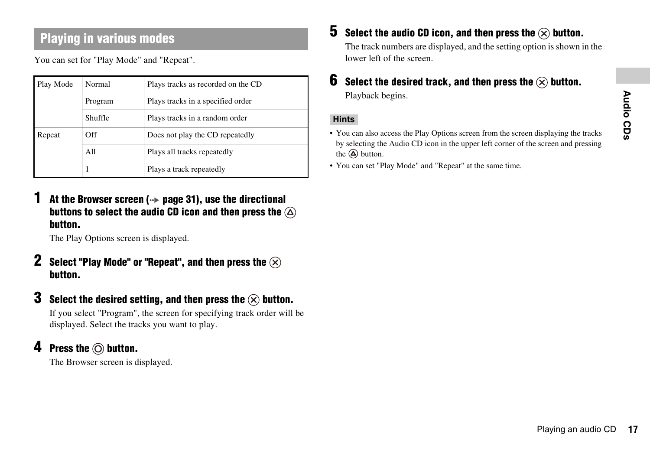## **Playing in various modes**

You can set for "Play Mode" and "Repeat".

| Play Mode | Normal  | Plays tracks as recorded on the CD |  |
|-----------|---------|------------------------------------|--|
|           | Program | Plays tracks in a specified order  |  |
|           | Shuffle | Plays tracks in a random order     |  |
| Repeat    | Off     | Does not play the CD repeatedly    |  |
|           | A11     | Plays all tracks repeatedly        |  |
|           |         | Plays a track repeatedly           |  |

At the Browser screen ( $\cdot\cdot$  [page 31\)](#page-30-4), use the directional **buttons to select the audio CD icon and then press the button.**

The Play Options screen is displayed.

- **2 Select "Play Mode" or "Repeat", and then press the button.**
- **3** Select the desired setting, and then press the  $\widehat{\times}$  button.

If you select "Program", the screen for specifying track order will be displayed. Select the tracks you want to play.

### **4 Press the**  $\odot$  **button.**

The Browser screen is displayed.

**5** Select the audio CD icon, and then press the  $\left(\times\right)$  button.

The track numbers are displayed, and the setting option is shown in the lower left of the screen.

**6** Select the desired track, and then press the  $\widehat{\mathbf{x}}$  button. Playback begins.

#### **Hints**

- **Playing the tracks**<br>
Screen and pressing<br>
Playing an audio CD 17 • You can also access the Play Options screen from the screen displaying the tracks by selecting the Audio CD icon in the upper left corner of the screen and pressing the  $\overline{(\Delta)}$  button.
- You can set "Play Mode" and "Repeat" at the same time.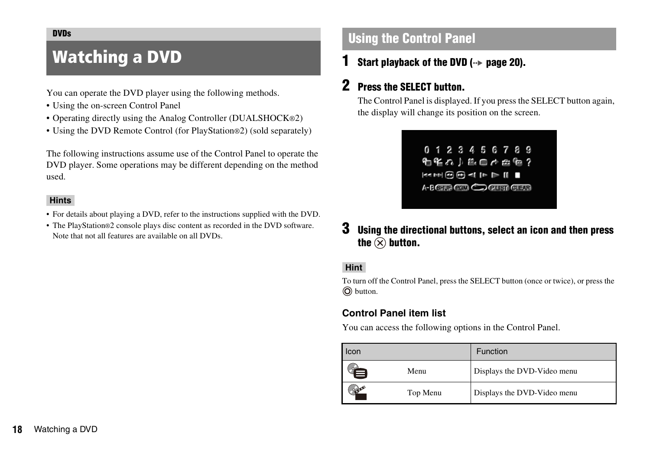#### <span id="page-17-0"></span>**DVDs**

# <span id="page-17-1"></span>Watching a DVD

#### You can operate the DVD player using the following methods.

- Using the on-screen Control Panel
- Operating directly using the Analog Controller (DUALSHOCK®2)
- Using the DVD Remote Control (for PlayStation®2) (sold separately)

The following instructions assume use of the Control Panel to operate the DVD player. Some operations may be different depending on the method used.

#### **Hints**

- For details about playing a DVD, refer to the instructions supplied with the DVD.
- The PlayStation®2 console plays disc content as recorded in the DVD software. Note that not all features are available on all DVDs.

### <span id="page-17-2"></span>**Using the Control Panel**

**1** Start playback of the DVD (→→ [page 20\)](#page-19-0).

### **2 Press the SELECT button.**

The Control Panel is displayed. If you press the SELECT button again, the display will change its position on the screen.



**3 Using the directional buttons, select an icon and then press**  the  $\widehat{\infty}$  button.

#### **Hint**

To turn off the Control Panel, press the SELECT button (once or twice), or press the button.

#### **Control Panel item list**

You can access the following options in the Control Panel.

| Icon |          | <b>Function</b>             |
|------|----------|-----------------------------|
|      | Menu     | Displays the DVD-Video menu |
|      | Top Menu | Displays the DVD-Video menu |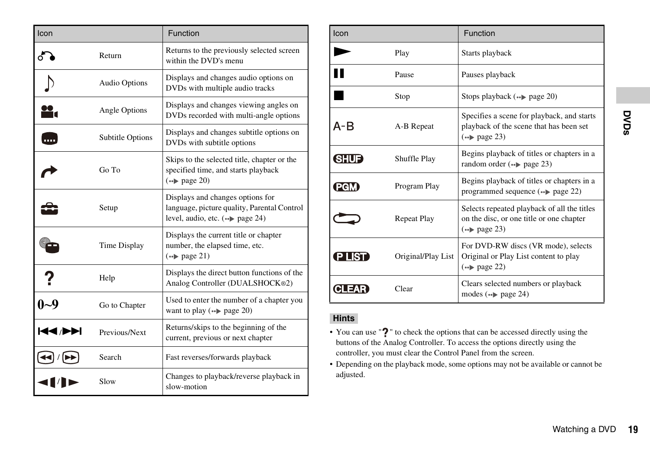| Icon    |                      | Function                                                                                                                                         |
|---------|----------------------|--------------------------------------------------------------------------------------------------------------------------------------------------|
|         | Return               | Returns to the previously selected screen<br>within the DVD's menu                                                                               |
|         | <b>Audio Options</b> | Displays and changes audio options on<br>DVDs with multiple audio tracks                                                                         |
|         | Angle Options        | Displays and changes viewing angles on<br>DVDs recorded with multi-angle options                                                                 |
| .       | Subtitle Options     | Displays and changes subtitle options on<br>DVDs with subtitle options                                                                           |
|         | Go To                | Skips to the selected title, chapter or the<br>specified time, and starts playback<br>$\left( \rightarrow \infty \right)$ page 20)               |
|         | Setup                | Displays and changes options for<br>language, picture quality, Parental Control<br>level, audio, etc. $(\rightarrow \rightarrow \text{page 24})$ |
|         | Time Display         | Displays the current title or chapter<br>number, the elapsed time, etc.<br>$\left( \rightarrow \infty \right)$ page 21)                          |
|         | Help                 | Displays the direct button functions of the<br>Analog Controller (DUALSHOCK®2)                                                                   |
| $0 - 9$ | Go to Chapter        | Used to enter the number of a chapter you<br>want to play $(\rightarrow \rightarrow \text{page } 20)$                                            |
| RENDE   | Previous/Next        | Returns/skips to the beginning of the<br>current, previous or next chapter                                                                       |
|         | Search               | Fast reverses/forwards playback                                                                                                                  |
|         | Slow                 | Changes to playback/reverse playback in<br>slow-motion                                                                                           |

| Icon                      |                    | Function                                                                                                                                                                                                                                                                                                          |      |
|---------------------------|--------------------|-------------------------------------------------------------------------------------------------------------------------------------------------------------------------------------------------------------------------------------------------------------------------------------------------------------------|------|
|                           | Play               | Starts playback                                                                                                                                                                                                                                                                                                   |      |
| Ш                         | Pause              | Pauses playback                                                                                                                                                                                                                                                                                                   |      |
|                           | Stop               | Stops playback (*) page 20)                                                                                                                                                                                                                                                                                       |      |
| $A - B$                   | A-B Repeat         | Specifies a scene for playback, and starts<br>playback of the scene that has been set<br>$\left( \rightarrow \blacktriangleright \text{ page } 23 \right)$                                                                                                                                                        | DVDs |
| <b>GIUD</b>               | Shuffle Play       | Begins playback of titles or chapters in a<br>random order $(\rightarrow \rightarrow \text{page } 23)$                                                                                                                                                                                                            |      |
| <b>PGM</b>                | Program Play       | Begins playback of titles or chapters in a<br>programmed sequence $(\rightarrow \rightarrow \text{page } 22)$                                                                                                                                                                                                     |      |
|                           | <b>Repeat Play</b> | Selects repeated playback of all the titles<br>on the disc, or one title or one chapter<br>$\left( \rightarrow \blacktriangleright \text{ page } 23 \right)$                                                                                                                                                      |      |
| <b>PLIST</b>              | Original/Play List | For DVD-RW discs (VR mode), selects<br>Original or Play List content to play<br>$\left( \rightarrow \blacktriangleright \text{ page } 22 \right)$                                                                                                                                                                 |      |
| <b>CLEAR</b>              | Clear              | Clears selected numbers or playback<br>modes $(\rightarrow \rightarrow \text{page } 24)$                                                                                                                                                                                                                          |      |
| <b>Hints</b><br>adjusted. |                    | • You can use "?" to check the options that can be accessed directly using the<br>buttons of the Analog Controller. To access the options directly using the<br>controller, you must clear the Control Panel from the screen.<br>• Depending on the playback mode, some options may not be available or cannot be |      |
|                           |                    | Watching a DVD                                                                                                                                                                                                                                                                                                    | 19   |

#### **Hints**

- You can use "?" to check the options that can be accessed directly using the buttons of the Analog Controller. To access the options directly using the controller, you must clear the Control Panel from the screen.
- Depending on the playback mode, some options may not be available or cannot be adjusted.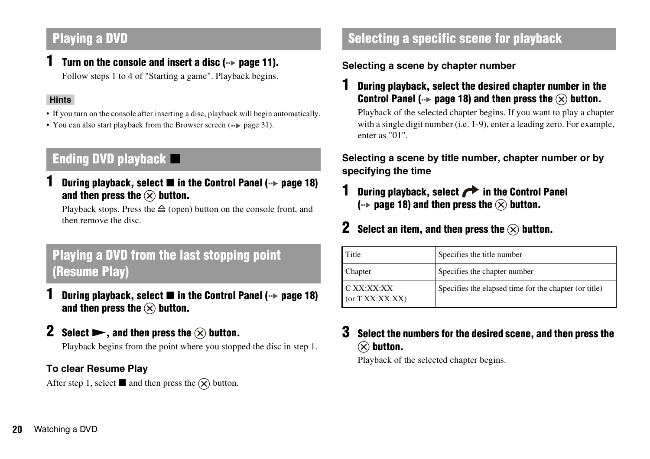### <span id="page-19-0"></span>**Playing a DVD**

**1 Turn on the console and insert a disc (** $\cdot\cdot\cdot$  **[page 11\)](#page-10-2).** Follow steps 1 to 4 of ["Starting a game"](#page-10-2). Playback begins.

#### **Hints**

- If you turn on the console after inserting a disc, playback will begin automatically.
- You can also start playback from the Browser screen  $(\cdot \cdot)$  [page 31](#page-30-4)).

## <span id="page-19-2"></span>**Ending DVD playback**  $\blacksquare$

**During playback, select ■ in the Control Panel (→→ [page 18](#page-17-2))** and then press the  $\mathcal{R}$  button.

Playback stops. Press the  $\triangleq$  (open) button on the console front, and then remove the disc.

## <span id="page-19-3"></span>**Playing a DVD from the last stopping point (Resume Play)**

- **During playback, select in the Control Panel (** $\cdot$ **<b>>** [page 18](#page-17-2)) and then press the  $\mathcal{R}$  button.
- **2 Select**  $\blacktriangleright$ **, and then press the**  $\widehat{\times}$  **button.**

Playback begins from the point where you stopped the disc in step 1.

### **To clear Resume Play**

After step 1, select **u** and then press the  $\hat{X}$  button.

### <span id="page-19-1"></span>**Selecting a specific scene for playback**

### **Selecting a scene by chapter number**

**1 During playback, select the desired chapter number in the Control Panel (** $\cdot\bullet$  [page 18\)](#page-17-2) and then press the  $\widehat{(\times)}$  button.

Playback of the selected chapter begins. If you want to play a chapter with a single digit number (i.e. 1-9), enter a leading zero. For example, enter as "01".

### **Selecting a scene by title number, chapter number or by specifying the time**

- **During playback, select <b>in** the Control Panel  $\left(\cdot\right)$  [page 18](#page-17-2)) and then press the  $\left(\cdot\right)$  button.
- **2 Select an item, and then press the**  $\widehat{\infty}$  **button.**

| Title                           | Specifies the title number                            |
|---------------------------------|-------------------------------------------------------|
| Chapter                         | Specifies the chapter number                          |
| C XX:XX:XX<br>(or $TXX:XX:XX$ ) | Specifies the elapsed time for the chapter (or title) |

### **3 Select the numbers for the desired scene, and then press the**   $(\widehat{\mathsf{x}})$  button.

Playback of the selected chapter begins.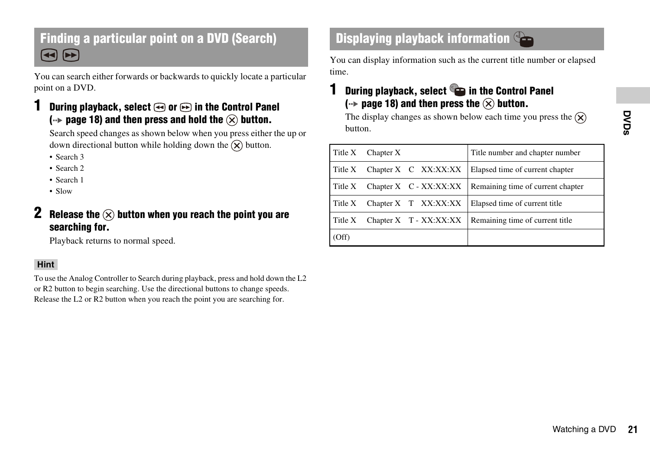### **Finding a particular point on a DVD (Search) Displaying playback information**  $\bigcirc$  **-**(◀◀) (▶▶

You can search either forwards or backwards to quickly locate a particular point on a DVD.

### **During playback, select**  $\odot$  **or**  $\odot$  **in the Control Panel**  $\left(\cdot\right)$  [page 18](#page-17-2)) and then press and hold the  $\left(\cdot\right)$  button.

Search speed changes as shown below when you press either the up or down directional button while holding down the  $\widehat{X}$  button.

- Search 3
- Search 2
- Search 1
- Slow

### **2 Release the**  $\widehat{\infty}$  **button when you reach the point you are searching for.**

Playback returns to normal speed.

#### **Hint**

To use the Analog Controller to Search during playback, press and hold down the L2 or R2 button to begin searching. Use the directional buttons to change speeds. Release the L2 or R2 button when you reach the point you are searching for.

<span id="page-20-0"></span>You can display information such as the current title number or elapsed time.

### **1 During playback, select in the Control Panel**  $\left(\cdot\right)$  [page 18\)](#page-17-2) and then press the  $\left(\cdot\right)$  button.

| Title X | Chapter $X$ |                        | Title number and chapter number   |  |
|---------|-------------|------------------------|-----------------------------------|--|
| Title X |             | Chapter X C XX:XX:XX   | Elapsed time of current chapter   |  |
| Title X |             | Chapter X C - XX:XX:XX | Remaining time of current chapter |  |
| Title X | Chapter X   | XX:XX:XX<br>T          | Elapsed time of current title     |  |
| Title X |             | Chapter X T - XX:XX:XX | Remaining time of current title   |  |
| (Off)   |             |                        |                                   |  |
|         |             |                        |                                   |  |
|         |             |                        |                                   |  |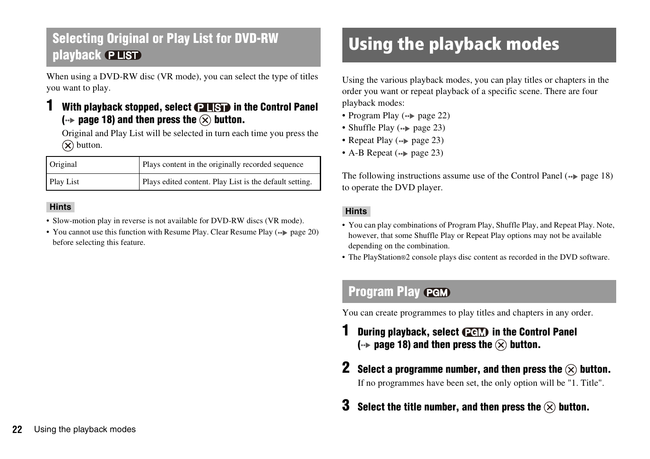### <span id="page-21-2"></span>**Selecting Original or Play List for DVD-RW playback**

When using a DVD-RW disc (VR mode), you can select the type of titles you want to play.

### **With playback stopped, select <b>PLSP** in the Control Panel  $\left(\cdot\right)$  [page 18](#page-17-2)) and then press the  $\left(\cdot\right)$  button.

Original and Play List will be selected in turn each time you press the  $(\widehat{\mathsf{x}})$  button.

| Original  | Plays content in the originally recorded sequence       |
|-----------|---------------------------------------------------------|
| Play List | Plays edited content. Play List is the default setting. |

#### **Hints**

- Slow-motion play in reverse is not available for DVD-RW discs (VR mode).
- You cannot use this function with Resume Play. Clear Resume Play  $(*\triangleright$  [page 20](#page-19-3)) before selecting this feature.

# <span id="page-21-0"></span>Using the playback modes

Using the various playback modes, you can play titles or chapters in the order you want or repeat playback of a specific scene. There are four playback modes:

- Program Play  $\left( \rightarrow \right)$  [page 22](#page-21-1))
- Shuffle Play  $(\rightarrow \rightarrow$  [page 23\)](#page-22-1)
- Repeat Play  $(\rightarrow \rightarrow$  [page 23](#page-22-2))
- A-B Repeat  $(\cdot \triangleright$  [page 23](#page-22-0))

The following instructions assume use of the Control Panel  $\rightarrow$  [page 18\)](#page-17-2) to operate the DVD player.

#### **Hints**

- You can play combinations of Program Play, Shuffle Play, and Repeat Play. Note, however, that some Shuffle Play or Repeat Play options may not be available depending on the combination.
- The PlayStation®2 console plays disc content as recorded in the DVD software.

### <span id="page-21-1"></span>**Program Play**

You can create programmes to play titles and chapters in any order.

- **1 During playback, select <b>CGM** in the Control Panel  $\left(\cdot\right)$  [page 18](#page-17-2)) and then press the  $\left(\overline{\times}\right)$  button.
- **2 Select a programme number, and then press the**  $\widehat{\times}$  **button.** If no programmes have been set, the only option will be "1. Title".
- **3** Select the title number, and then press the  $\left(\times\right)$  button.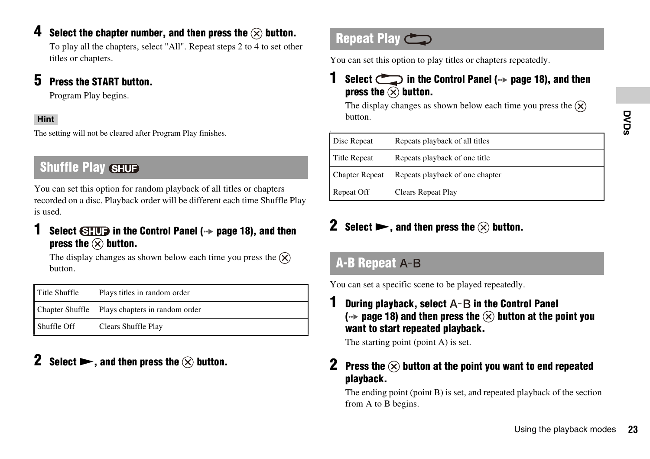### **4 Select the chapter number, and then press the**  $\widehat{\infty}$  **button.**

To play all the chapters, select "All". Repeat steps 2 to 4 to set other titles or chapters.

### **5 Press the START button.**

Program Play begins.

### **Hint**

The setting will not be cleared after Program Play finishes.

## <span id="page-22-1"></span>**Shuffle Play SHUF**

You can set this option for random playback of all titles or chapters recorded on a disc. Playback order will be different each time Shuffle Play is used.

### **1 Select**  $\bigoplus$  **<b>1 III** in the Control Panel ( $\cdot$ **)** [page 18](#page-17-2)), and then **press the**  $\circledtimes$  **button.**

The display changes as shown below each time you press the  $(\hat{\mathbf{X}})$ button.

| Title Shuffle          | Plays titles in random order   |
|------------------------|--------------------------------|
| <b>Chapter Shuffle</b> | Plays chapters in random order |
| Shuffle Off            | Clears Shuffle Play            |

## **2 Select**  $\blacktriangleright$ , and then press the  $\widehat{\times}$  button.

## <span id="page-22-2"></span>**Repeat Play**

You can set this option to play titles or chapters repeatedly.

### **1 Select**  $\leftarrow$  **1 in the Control Panel** ( $\rightarrow$  **page 18**), and then **press the**  $\circledtimes$  **button.**

The display changes as shown below each time you press the  $(\widehat{\mathsf{x}})$ button.

| button.                               |                                                                                                                                                                                                       | DVDs |
|---------------------------------------|-------------------------------------------------------------------------------------------------------------------------------------------------------------------------------------------------------|------|
| Disc Repeat                           | Repeats playback of all titles                                                                                                                                                                        |      |
| <b>Title Repeat</b>                   | Repeats playback of one title                                                                                                                                                                         |      |
| <b>Chapter Repeat</b>                 | Repeats playback of one chapter                                                                                                                                                                       |      |
| Repeat Off                            | Clears Repeat Play                                                                                                                                                                                    |      |
| <b>A-B Repeat A-B</b>                 | Select $\blacktriangleright$ , and then press the $\widehat{\times}$ button.                                                                                                                          |      |
|                                       | You can set a specific scene to be played repeatedly.                                                                                                                                                 |      |
|                                       | During playback, select $A-B$ in the Control Panel<br>(→ page 18) and then press the $\otimes$ button at the point you<br>want to start repeated playback.<br>The starting point (point $A$ ) is set. |      |
| 2<br>playback.<br>from A to B begins. | Press the $(x)$ button at the point you want to end repeated<br>The ending point (point B) is set, and repeated playback of the section                                                               |      |
|                                       | Using the playback modes                                                                                                                                                                              | 23   |

### **2 Select**  $\blacktriangleright$ , and then press the  $\otimes$  button.

### <span id="page-22-0"></span>**A-B Repeat**

### **2 Press the**  $\widehat{\infty}$  **button at the point you want to end repeated playback.**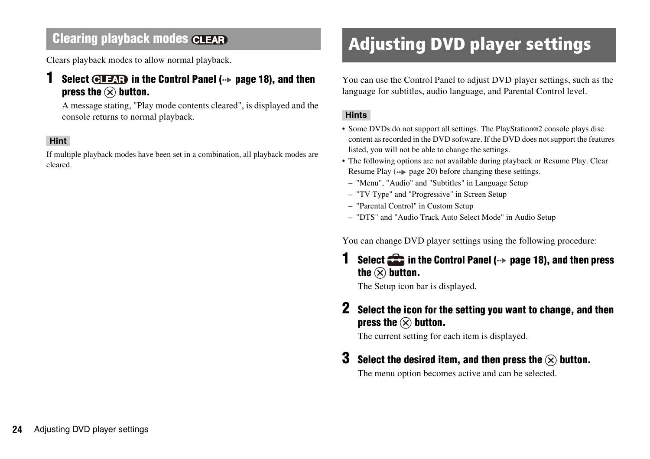Clears playback modes to allow normal playback.

### **1 Select**  $\overline{G}$  **<b>17AP** in the Control Panel ( $\rightarrow$  [page 18](#page-17-2)), and then **press the**  $\widehat{\times}$  **button.**

A message stating, "Play mode contents cleared", is displayed and the console returns to normal playback.

#### **Hint**

If multiple playback modes have been set in a combination, all playback modes are cleared.

# <span id="page-23-1"></span>**Clearing playback modes CLEAR Adjusting DVD player settings**

<span id="page-23-0"></span>You can use the Control Panel to adjust DVD player settings, such as the language for subtitles, audio language, and Parental Control level.

#### **Hints**

- Some DVDs do not support all settings. The PlayStation®2 console plays disc content as recorded in the DVD software. If the DVD does not support the features listed, you will not be able to change the settings.
- The following options are not available during playback or Resume Play. Clear Resume Play  $(*\blacktriangleright)$  [page 20](#page-19-3)) before changing these settings.
- "Menu", "Audio" and "Subtitles" in Language Setup
- "TV Type" and "Progressive" in Screen Setup
- "Parental Control" in Custom Setup
- "DTS" and "Audio Track Auto Select Mode" in Audio Setup

You can change DVD player settings using the following procedure:

### **1 Select**  $\frac{1}{2}$  **in the Control Panel (**→ [page 18\)](#page-17-2), and then press the  $\circledtimes$  button.

The Setup icon bar is displayed.

### **2 Select the icon for the setting you want to change, and then press the**  $\widehat{\times}$  **button.**

The current setting for each item is displayed.

### **3** Select the desired item, and then press the  $\left(\times\right)$  button.

The menu option becomes active and can be selected.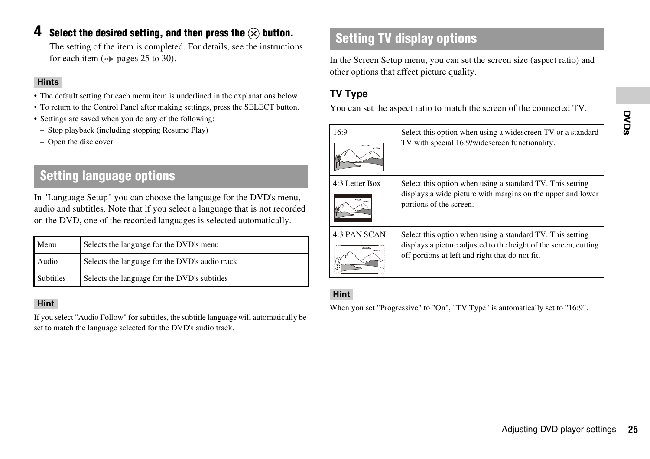### **4** Select the desired setting, and then press the  $\widehat{\infty}$  button.

The setting of the item is completed. For details, see the instructions for each item  $(\rightarrow \rightarrow \rightarrow$  [pages 25](#page-24-0) to [30\)](#page-29-0).

#### **Hints**

- The default setting for each menu item is underlined in the explanations below.
- To return to the Control Panel after making settings, press the SELECT button.
- Settings are saved when you do any of the following:
- Stop playback (including stopping Resume Play)
- Open the disc cover

## <span id="page-24-0"></span>**Setting language options**

In "Language Setup" you can choose the language for the DVD's menu, audio and subtitles. Note that if you select a language that is not recorded on the DVD, one of the recorded languages is selected automatically.

| Menu      | Selects the language for the DVD's menu        |
|-----------|------------------------------------------------|
| Audio     | Selects the language for the DVD's audio track |
| Subtitles | Selects the language for the DVD's subtitles   |

#### **Hint**

If you select "Audio Follow" for subtitles, the subtitle language will automatically be set to match the language selected for the DVD's audio track.

## **Setting TV display options**

In the Screen Setup menu, you can set the screen size (aspect ratio) and other options that affect picture quality.

### <span id="page-24-1"></span>**TV Type**

You can set the aspect ratio to match the screen of the connected TV.

| 16:9           | Select this option when using a widescreen TV or a standard<br>TV with special 16:9/widescreen functionality.                                                                    | DVDs |
|----------------|----------------------------------------------------------------------------------------------------------------------------------------------------------------------------------|------|
| 4:3 Letter Box | Select this option when using a standard TV. This setting<br>displays a wide picture with margins on the upper and lower<br>portions of the screen.                              |      |
| 4:3 PAN SCAN   | Select this option when using a standard TV. This setting<br>displays a picture adjusted to the height of the screen, cutting<br>off portions at left and right that do not fit. |      |
| <b>Hint</b>    | When you set "Progressive" to "On", "TV Type" is automatically set to "16:9".                                                                                                    |      |
|                |                                                                                                                                                                                  |      |
|                | Adjusting DVD player settings                                                                                                                                                    | 25   |

### **Hint**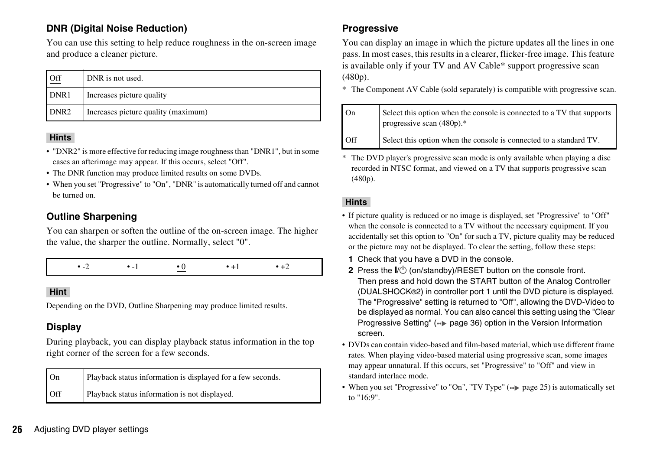### **DNR (Digital Noise Reduction)**

You can use this setting to help reduce roughness in the on-screen image and produce a cleaner picture.

| Off              | DNR is not used.                    |
|------------------|-------------------------------------|
| DNR1             | Increases picture quality           |
| DNR <sub>2</sub> | Increases picture quality (maximum) |

#### **Hints**

- "DNR2" is more effective for reducing image roughness than "DNR1", but in some cases an afterimage may appear. If this occurs, select "Off".
- The DNR function may produce limited results on some DVDs.
- When you set "Progressive" to "On", "DNR" is automatically turned off and cannot be turned on.

### **Outline Sharpening**

You can sharpen or soften the outline of the on-screen image. The higher the value, the sharper the outline. Normally, select "0".



#### **Hint**

Depending on the DVD, Outline Sharpening may produce limited results.

### **Display**

During playback, you can display playback status information in the top right corner of the screen for a few seconds.

| Qn         | Playback status information is displayed for a few seconds. |
|------------|-------------------------------------------------------------|
| <b>Off</b> | Playback status information is not displayed.               |

### **Progressive**

You can display an image in which the picture updates all the lines in one pass. In most cases, this results in a clearer, flicker-free image. This feature is available only if your TV and AV Cable\* support progressive scan (480p).

\* The Component AV Cable (sold separately) is compatible with progressive scan.

| On  | Select this option when the console is connected to a TV that supports<br>progressive scan $(480p)*$ |
|-----|------------------------------------------------------------------------------------------------------|
| Off | Select this option when the console is connected to a standard TV.                                   |

\* The DVD player's progressive scan mode is only available when playing a disc recorded in NTSC format, and viewed on a TV that supports progressive scan (480p).

#### **Hints**

- If picture quality is reduced or no image is displayed, set "Progressive" to "Off" when the console is connected to a TV without the necessary equipment. If you accidentally set this option to "On" for such a TV, picture quality may be reduced or the picture may not be displayed. To clear the setting, follow these steps:
	- **1** Check that you have a DVD in the console.
	- **2** Press the  $\mathsf{I\!}/\mathrm{I\!}/\mathrm{O}$  (on/standby)/RESET button on the console front. Then press and hold down the START button of the Analog Controller (DUALSHOCK®2) in controller port 1 until the DVD picture is displayed. The "Progressive" setting is returned to "Off", allowing the DVD-Video to be displayed as normal. You can also cancel this setting using the "Clear Progressive Setting" ( $\rightarrow$  [page 36\)](#page-35-0) option in the Version Information screen.
- DVDs can contain video-based and film-based material, which use different frame rates. When playing video-based material using progressive scan, some images may appear unnatural. If this occurs, set "Progressive" to "Off" and view in standard interlace mode.
- When you set "Progressive" to "On", "TV Type"  $\leftrightarrow$  [page 25\)](#page-24-1) is automatically set to "16:9".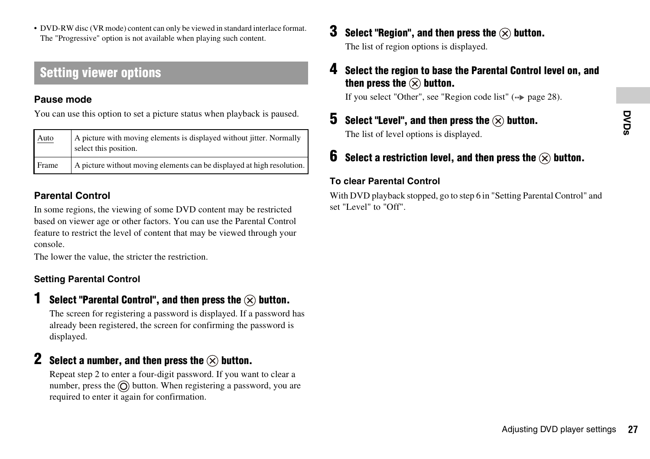• DVD-RW disc (VR mode) content can only be viewed in standard interlace format. The "Progressive" option is not available when playing such content.

### **Setting viewer options**

#### **Pause mode**

You can use this option to set a picture status when playback is paused.

| Auto  | A picture with moving elements is displayed without jitter. Normally<br>select this position. |
|-------|-----------------------------------------------------------------------------------------------|
| Frame | A picture without moving elements can be displayed at high resolution.                        |

### <span id="page-26-1"></span>**Parental Control**

In some regions, the viewing of some DVD content may be restricted based on viewer age or other factors. You can use the Parental Control feature to restrict the level of content that may be viewed through your console.

The lower the value, the stricter the restriction.

### <span id="page-26-0"></span>**Setting Parental Control**

### **Select "Parental Control", and then press the**  $\widehat{\times}$  **button.**

The screen for registering a password is displayed. If a password has already been registered, the screen for confirming the password is displayed.

### **2 Select a number, and then press the**  $\widehat{\times}$  **button.**

Repeat step 2 to enter a four-digit password. If you want to clear a number, press the  $\odot$  button. When registering a password, you are required to enter it again for confirmation.

**Select "Region", and then press the**  $\widehat{\times}$  **button.** 

The list of region options is displayed.

### **4 Select the region to base the Parental Control level on, and**  then press the  $\widehat{\times}$  button.

If you select "Other", see ["Region code list"](#page-27-0)  $(\rightarrow \rightarrow$  [page 28\)](#page-27-0).

**5** Select "Level", and then press the  $\widehat{\infty}$  button. The list of level options is displayed.

### **6** Select a restriction level, and then press the  $\widehat{\times}$  button.

### **To clear Parental Control**

**Press the**  $\bigotimes$  **button.**<br> **Press the**  $\bigotimes$  **button.**<br>
<br> **Example 27 DVD** player settings 27 With DVD playback stopped, go to step 6 in ["Setting Parental Control"](#page-26-0) and set "Level" to "Off".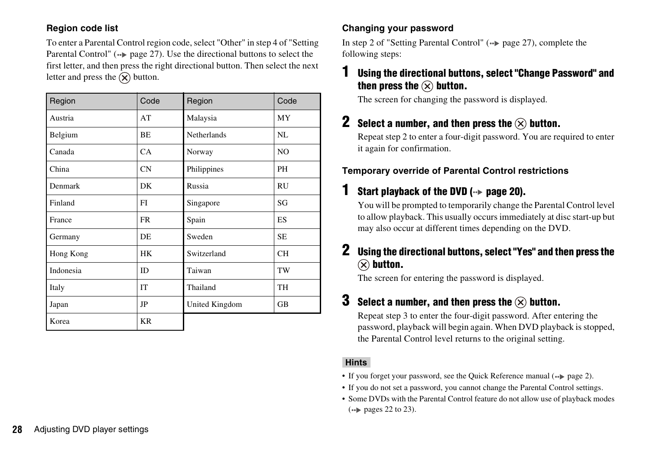#### <span id="page-27-0"></span>**Region code list**

To enter a Parental Control region code, select "Other" in step 4 of "Setting Parental Control" ( $\rightarrow$  [page 27\)](#page-26-1). Use the directional buttons to select the first letter, and then press the right directional button. Then select the next letter and press the  $\chi$  button.

| Region    | Code      | Region         | Code      |
|-----------|-----------|----------------|-----------|
| Austria   | AT        | Malaysia       | MY        |
| Belgium   | BE        | Netherlands    | NL        |
| Canada    | CA        | Norway         | NO        |
| China     | CN        | Philippines    | PH        |
| Denmark   | DK        | Russia         | <b>RU</b> |
| Finland   | FI        | Singapore      | SG        |
| France    | <b>FR</b> | Spain          | ES        |
| Germany   | DE        | Sweden         | <b>SE</b> |
| Hong Kong | <b>HK</b> | Switzerland    | <b>CH</b> |
| Indonesia | ID        | Taiwan         | TW        |
| Italy     | IT        | Thailand       | TH        |
| Japan     | JP        | United Kingdom | <b>GB</b> |
| Korea     | <b>KR</b> |                |           |

### **Changing your password**

In step 2 of ["Setting Parental Control"](#page-26-0)  $\leftrightarrow$  [page 27\)](#page-26-1), complete the following steps:

### **1 Using the directional buttons, select "Change Password" and**  then press the  $\widehat{\times}$  button.

The screen for changing the password is displayed.

### **2** Select a number, and then press the  $\widehat{\infty}$  button.

Repeat step 2 to enter a four-digit password. You are required to enter it again for confirmation.

### **Temporary override of Parental Control restrictions**

### *Start playback of the DVD (↔***▶ [page 20\)](#page-19-0).**

You will be prompted to temporarily change the Parental Control level to allow playback. This usually occurs immediately at disc start-up but may also occur at different times depending on the DVD.

### **2 Using the directional buttons, select "Yes" and then press the**   $(\widehat{\mathsf{x}})$  button.

The screen for entering the password is displayed.

### **3** Select a number, and then press the  $\widehat{\infty}$  button.

Repeat step 3 to enter the four-digit password. After entering the password, playback will begin again. When DVD playback is stopped, the Parental Control level returns to the original setting.

#### **Hints**

- If you forget your password, see the Quick Reference manual  $(\rightarrow \rightarrow$  [page 2](#page-1-0)).
- If you do not set a password, you cannot change the Parental Control settings.
- Some DVDs with the Parental Control feature do not allow use of playback modes  $\leftrightarrow$  [pages 22](#page-21-0) to [23\)](#page-22-0).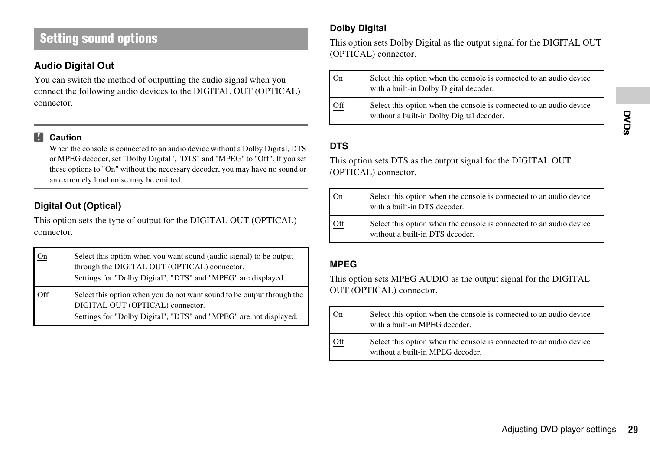### **Setting sound options**

### <span id="page-28-0"></span>**Audio Digital Out**

You can switch the method of outputting the audio signal when you connect the following audio devices to the DIGITAL OUT (OPTICAL) connector.

#### **IV Caution**

When the console is connected to an audio device without a Dolby Digital, DTS or MPEG decoder, set "Dolby Digital", "DTS" and "MPEG" to "Off". If you set these options to "On" without the necessary decoder, you may have no sound or an extremely loud noise may be emitted.

### <span id="page-28-1"></span>**Digital Out (Optical)**

This option sets the type of output for the DIGITAL OUT (OPTICAL) connector.

| On  | Select this option when you want sound (audio signal) to be output<br>through the DIGITAL OUT (OPTICAL) connector.<br>Settings for "Dolby Digital", "DTS" and "MPEG" are displayed. |
|-----|-------------------------------------------------------------------------------------------------------------------------------------------------------------------------------------|
| Off | Select this option when you do not want sound to be output through the<br>DIGITAL OUT (OPTICAL) connector.<br>Settings for "Dolby Digital", "DTS" and "MPEG" are not displayed.     |

### **Dolby Digital**

This option sets Dolby Digital as the output signal for the DIGITAL OUT (OPTICAL) connector.

| On  | Select this option when the console is connected to an audio device<br>with a built-in Dolby Digital decoder.    |
|-----|------------------------------------------------------------------------------------------------------------------|
| Off | Select this option when the console is connected to an audio device<br>without a built-in Dolby Digital decoder. |

### **DTS**

| On  | Select this option when the console is connected to an audio device<br>with a built-in DTS decoder.    |
|-----|--------------------------------------------------------------------------------------------------------|
| Off | Select this option when the console is connected to an audio device<br>without a built-in DTS decoder. |

#### **MPEG**

|                   | without a built-in Dolby Digital decoder.                                                                                                                           | DVDs |
|-------------------|---------------------------------------------------------------------------------------------------------------------------------------------------------------------|------|
| <b>DTS</b>        | This option sets DTS as the output signal for the DIGITAL OUT<br>(OPTICAL) connector.                                                                               |      |
| O <sub>n</sub>    | Select this option when the console is connected to an audio device<br>with a built-in DTS decoder.                                                                 |      |
| Off               | Select this option when the console is connected to an audio device<br>without a built-in DTS decoder.                                                              |      |
| <b>MPEG</b><br>On | This option sets MPEG AUDIO as the output signal for the DIGITAL<br>OUT (OPTICAL) connector.<br>Select this option when the console is connected to an audio device |      |
| Off               | with a built-in MPEG decoder.<br>Select this option when the console is connected to an audio device<br>without a built-in MPEG decoder.                            |      |
|                   | Adjusting DVD player settings                                                                                                                                       | 29   |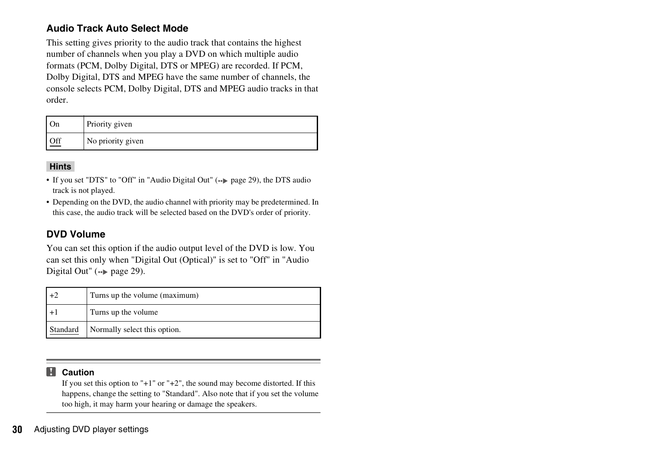### <span id="page-29-0"></span>**Audio Track Auto Select Mode**

This setting gives priority to the audio track that contains the highest number of channels when you play a DVD on which multiple audio formats (PCM, Dolby Digital, DTS or MPEG) are recorded. If PCM, Dolby Digital, DTS and MPEG have the same number of channels, the console selects PCM, Dolby Digital, DTS and MPEG audio tracks in that order.

| On  | Priority given    |
|-----|-------------------|
| Off | No priority given |

#### **Hints**

- If you set "DTS" to "Off" in "Audio Digital Out"  $\leftrightarrow$  [page 29\)](#page-28-0), the DTS audio track is not played.
- Depending on the DVD, the audio channel with priority may be predetermined. In this case, the audio track will be selected based on the DVD's order of priority.

#### **DVD Volume**

You can set this option if the audio output level of the DVD is low. You can set this only when "Digital Out (Optical)" is set to "Off" in "Audio Digital Out" ( $\rightarrow$  [page 29](#page-28-1)).

| $+2$     | Turns up the volume (maximum) |
|----------|-------------------------------|
| $+1$     | Turns up the volume           |
| Standard | Normally select this option.  |

#### **Caution** П

If you set this option to "+1" or "+2", the sound may become distorted. If this happens, change the setting to "Standard". Also note that if you set the volume too high, it may harm your hearing or damage the speakers.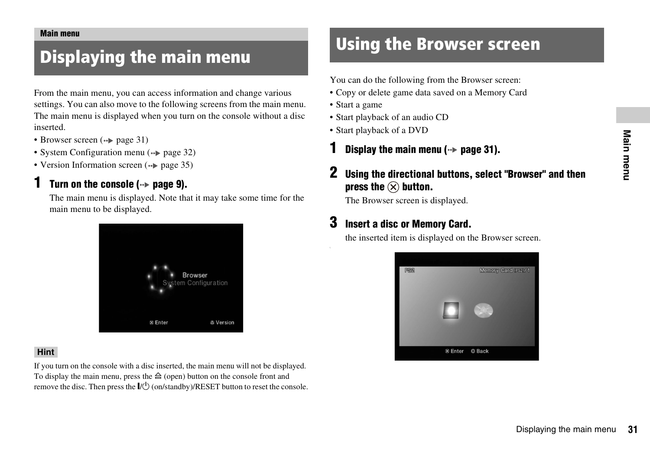#### <span id="page-30-3"></span><span id="page-30-0"></span>**Main menu**

From the main menu, you can access information and change various settings. You can also move to the following screens from the main menu. The main menu is displayed when you turn on the console without a disc inserted.

- Browser screen  $(\cdot \cdot)$  [page 31](#page-30-2))
- System Configuration menu (•• [page 32](#page-31-0))
- Version Information screen  $(\rightarrow \rightarrow \text{page } 35)$

### **1 1 Turn on the console (** $\cdot\cdot\cdot$  **[page 9\)](#page-8-1).**

The main menu is displayed. Note that it may take some time for the main menu to be displayed.



#### **Hint**

If you turn on the console with a disc inserted, the main menu will not be displayed. To display the main menu, press the  $\triangleq$  (open) button on the console front and remove the disc. Then press the  $\mathsf{I}/\mathsf{U}$  (on/standby)/RESET button to reset the console.

# <span id="page-30-5"></span><span id="page-30-1"></span>**Displaying the main menu Constructed Using the Browser screen**

<span id="page-30-4"></span><span id="page-30-2"></span>You can do the following from the Browser screen:

- Copy or delete game data saved on a Memory Card
- Start a game
- Start playback of an audio CD
- Start playback of a DVD
- **Display the main menu (** $\rightarrow$  **[page 31\)](#page-30-1).**

### **2 Using the directional buttons, select "Browser" and then press the**  $\left(\times\right)$  **button.**

The Browser screen is displayed.

### **3 Insert a disc or Memory Card.**

the inserted item is displayed on the Browser screen.

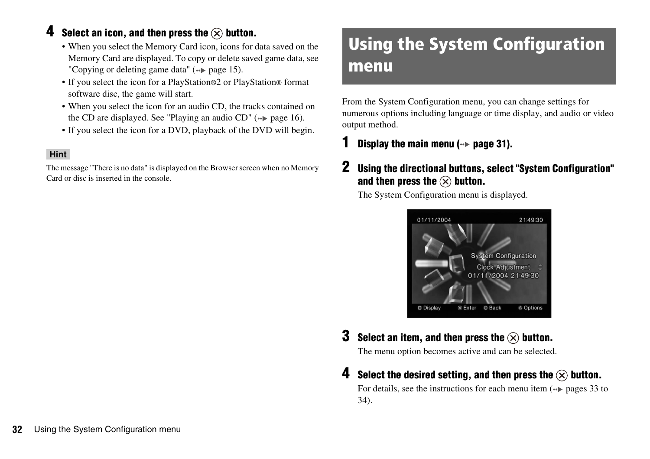### **4 Select an icon, and then press the**  $\widehat{\infty}$  **button.**

- When you select the Memory Card icon, icons for data saved on the Memory Card are displayed. To copy or delete saved game data, see ["Copying or deleting game data"](#page-14-0) ( $\rightarrow$  [page 15\)](#page-14-0).
- If you select the icon for a PlayStation®2 or PlayStation® format software disc, the game will start.
- When you select the icon for an audio CD, the tracks contained on the CD are displayed. See ["Playing an audio CD"](#page-15-2) ( $\rightarrow$  [page 16](#page-15-2)).
- If you select the icon for a DVD, playback of the DVD will begin.

#### **Hint**

The message "There is no data" is displayed on the Browser screen when no Memory Card or disc is inserted in the console.

# <span id="page-31-0"></span>Using the System Configuration menu

From the System Configuration menu, you can change settings for numerous options including language or time display, and audio or video output method.

### **Display the main menu (** $\cdot$  $\triangleright$  **[page 31\)](#page-30-1).**

### **2 Using the directional buttons, select "System Configuration"**  and then press the  $\mathcal{R}$  button.

The System Configuration menu is displayed.



**3** Select an item, and then press the  $\widehat{\infty}$  button.

The menu option becomes active and can be selected.

**4 Select the desired setting, and then press the**  $\widehat{\infty}$  **button.** 

For details, see the instructions for each menu item  $\left( \rightarrow \right)$  [pages 33](#page-32-2) to [34\)](#page-33-0).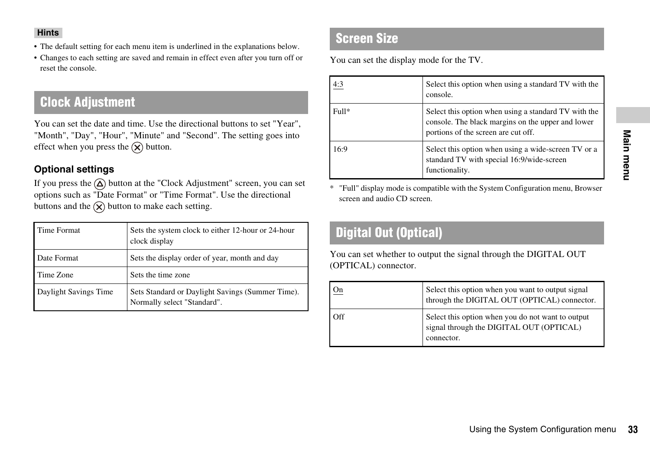- The default setting for each menu item is underlined in the explanations below.
- Changes to each setting are saved and remain in effect even after you turn off or reset the console.

### <span id="page-32-2"></span>**Clock Adjustment**

You can set the date and time. Use the directional buttons to set "Year", "Month", "Day", "Hour", "Minute" and "Second". The setting goes into effect when you press the  $(\widehat{\mathsf{x}})$  button.

### **Optional settings**

If you press the  $\Omega$  button at the "Clock Adjustment" screen, you can set options such as "Date Format" or "Time Format". Use the directional buttons and the  $\hat{X}$  button to make each setting.

| Time Format           | Sets the system clock to either 12-hour or 24-hour<br>clock display             |
|-----------------------|---------------------------------------------------------------------------------|
| Date Format           | Sets the display order of year, month and day                                   |
| Time Zone             | Sets the time zone                                                              |
| Daylight Savings Time | Sets Standard or Daylight Savings (Summer Time).<br>Normally select "Standard". |

### <span id="page-32-1"></span>**Screen Size**

You can set the display mode for the TV.

| 4:3   | Select this option when using a standard TV with the<br>console.                                                                                 |
|-------|--------------------------------------------------------------------------------------------------------------------------------------------------|
| Full* | Select this option when using a standard TV with the<br>console. The black margins on the upper and lower<br>portions of the screen are cut off. |
| 16:9  | Select this option when using a wide-screen TV or a<br>standard TV with special 16:9/wide-screen<br>functionality.                               |

## <span id="page-32-0"></span>**Digital Out (Optical)**

|                              | portions of the screen are cut off.                                                                                |           |
|------------------------------|--------------------------------------------------------------------------------------------------------------------|-----------|
| 16:9                         | Select this option when using a wide-screen TV or a<br>standard TV with special 16:9/wide-screen<br>functionality. | Main menu |
| screen and audio CD screen.  | "Full" display mode is compatible with the System Configuration menu, Browser                                      |           |
| <b>Digital Out (Optical)</b> |                                                                                                                    |           |
| (OPTICAL) connector.         | You can set whether to output the signal through the DIGITAL OUT                                                   |           |
| On                           | Select this option when you want to output signal<br>through the DIGITAL OUT (OPTICAL) connector.                  |           |
| Off                          | Select this option when you do not want to output<br>signal through the DIGITAL OUT (OPTICAL)<br>connector.        |           |
|                              |                                                                                                                    |           |
|                              |                                                                                                                    |           |
|                              | Using the System Configuration menu                                                                                | 33        |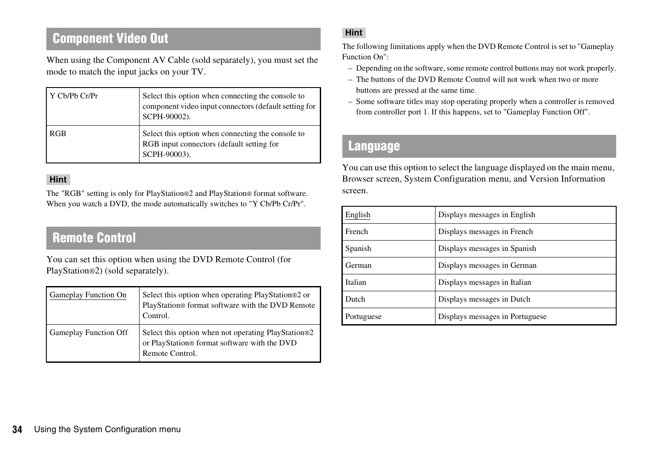## **Component Video Out**

When using the Component AV Cable (sold separately), you must set the mode to match the input jacks on your TV.

| Y Cb/Pb Cr/Pr | Select this option when connecting the console to<br>component video input connectors (default setting for<br>SCPH-90002). |
|---------------|----------------------------------------------------------------------------------------------------------------------------|
| RGB           | Select this option when connecting the console to<br>RGB input connectors (default setting for<br>SCPH-90003).             |

#### **Hint**

The "RGB" setting is only for PlayStation®2 and PlayStation® format software. When you watch a DVD, the mode automatically switches to "Y Cb/Pb Cr/Pr".

### **Remote Control**

You can set this option when using the DVD Remote Control (for PlayStation®2) (sold separately).

| <b>Gameplay Function On</b>  | Select this option when operating PlayStation®2 or<br>PlayStation® format software with the DVD Remote<br>Control.     |
|------------------------------|------------------------------------------------------------------------------------------------------------------------|
| <b>Gameplay Function Off</b> | Select this option when not operating PlayStation®2<br>or PlayStation® format software with the DVD<br>Remote Control. |

### **Hint**

The following limitations apply when the DVD Remote Control is set to "Gameplay Function On":

- Depending on the software, some remote control buttons may not work properly.
- The buttons of the DVD Remote Control will not work when two or more buttons are pressed at the same time.
- Some software titles may stop operating properly when a controller is removed from controller port 1. If this happens, set to "Gameplay Function Off".

### <span id="page-33-0"></span>**Language**

You can use this option to select the language displayed on the main menu, Browser screen, System Configuration menu, and Version Information screen.

| English    | Displays messages in English    |  |
|------------|---------------------------------|--|
| French     | Displays messages in French     |  |
| Spanish    | Displays messages in Spanish    |  |
| German     | Displays messages in German     |  |
| Italian    | Displays messages in Italian    |  |
| Dutch      | Displays messages in Dutch      |  |
| Portuguese | Displays messages in Portuguese |  |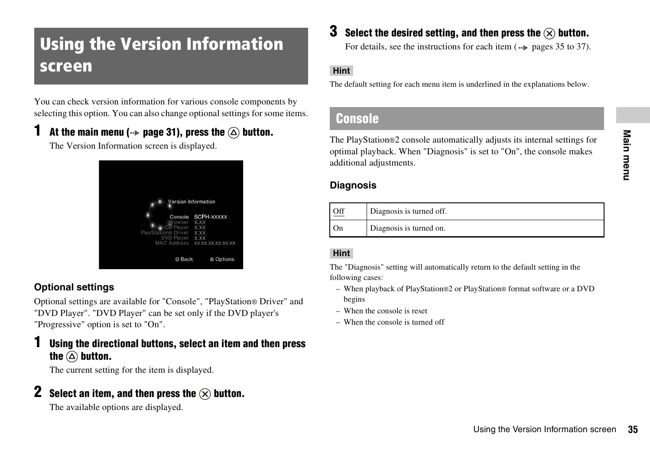# <span id="page-34-2"></span><span id="page-34-0"></span>Using the Version Information screen

You can check version information for various console components by selecting this option. You can also change optional settings for some items.

### At the main menu ( $\rightarrow$  [page 31\)](#page-30-1), press the  $\widehat{\triangle}$  button.

The Version Information screen is displayed.



### **Optional settings**

Optional settings are available for "Console", "PlayStation® Driver" and "DVD Player". "DVD Player" can be set only if the DVD player's "Progressive" option is set to "On".

### **1 Using the directional buttons, select an item and then press**  the  $\textcircled{a}$  button.

The current setting for the item is displayed.

### **2 Select an item, and then press the**  $\widehat{\times}$  **button.**

The available options are displayed.

### **3** Select the desired setting, and then press the  $\widehat{\times}$  button.

For details, see the instructions for each item  $(\rightarrow \rightarrow \rightarrow$  [pages 35](#page-34-1) to [37](#page-36-0)).

#### **Hint**

The default setting for each menu item is underlined in the explanations below.

### <span id="page-34-1"></span>**Console**

Ily adjusts its internal settings for<br>s set to "On", the console makes<br><br>**EXECUTE:**<br>The Version Information screen 35<br>Using the Version Information screen 35 The PlayStation®2 console automatically adjusts its internal settings for optimal playback. When "Diagnosis" is set to "On", the console makes additional adjustments.

### **Diagnosis**

| Off | Diagnosis is turned off. |
|-----|--------------------------|
| On  | Diagnosis is turned on.  |

### **Hint**

The "Diagnosis" setting will automatically return to the default setting in the following cases:

- When playback of PlayStation®2 or PlayStation® format software or a DVD begins
- When the console is reset
- When the console is turned off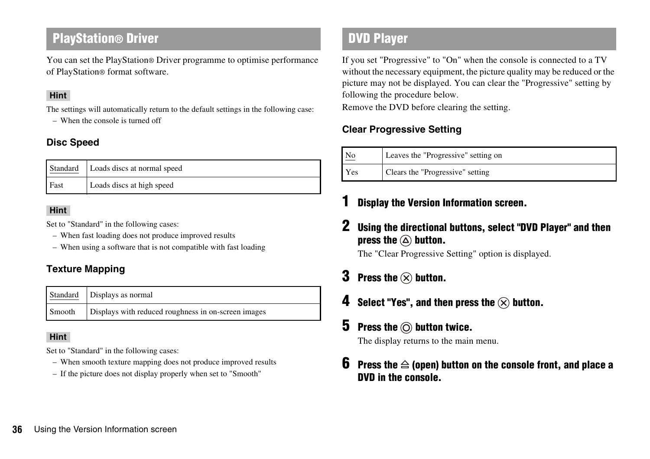### **PlayStation® Driver**

You can set the PlayStation® Driver programme to optimise performance of PlayStation® format software.

#### **Hint**

The settings will automatically return to the default settings in the following case:

– When the console is turned off

### **Disc Speed**

|             | Standard   Loads discs at normal speed |
|-------------|----------------------------------------|
| <b>Fast</b> | Loads discs at high speed              |

#### **Hint**

Set to "Standard" in the following cases:

- When fast loading does not produce improved results
- When using a software that is not compatible with fast loading

### **Texture Mapping**

|        | Standard Displays as normal                         |
|--------|-----------------------------------------------------|
| Smooth | Displays with reduced roughness in on-screen images |

#### **Hint**

Set to "Standard" in the following cases:

- When smooth texture mapping does not produce improved results
- If the picture does not display properly when set to "Smooth"

## **DVD Player**

If you set "Progressive" to "On" when the console is connected to a TV without the necessary equipment, the picture quality may be reduced or the picture may not be displayed. You can clear the "Progressive" setting by following the procedure below.

Remove the DVD before clearing the setting.

### <span id="page-35-0"></span>**Clear Progressive Setting**

| No  | Leaves the "Progressive" setting on |
|-----|-------------------------------------|
| Yes | Clears the "Progressive" setting    |

### **1 Display the Version Information screen.**

**2 Using the directional buttons, select "DVD Player" and then press the**  $\textcircled{a}$  **button.** 

The "Clear Progressive Setting" option is displayed.

- **3 Press the**  $\otimes$  **button.**
- **4 Select "Yes", and then press the**  $\widehat{\times}$  **button.**

### **5** Press the  $\odot$  button twice.

The display returns to the main menu.

**6** Press the  $\triangleq$  (open) button on the console front, and place a **DVD in the console.**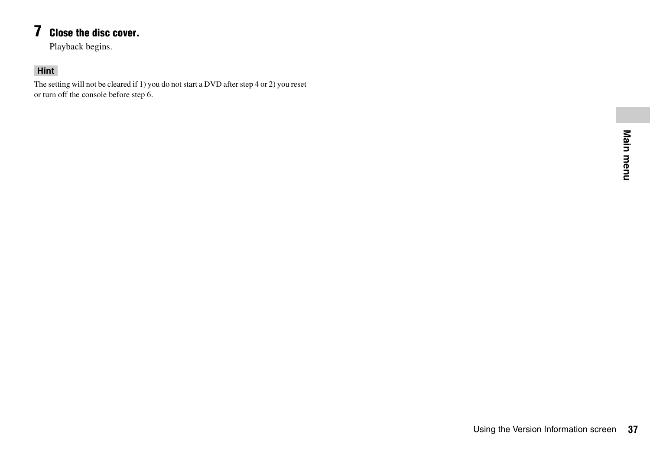## **7 Close the disc cover.**

Playback begins.

### <span id="page-36-0"></span>**Hint**

The setting will not be cleared if 1) you do not start a DVD after step 4 or 2) you reset or turn off the console before step 6.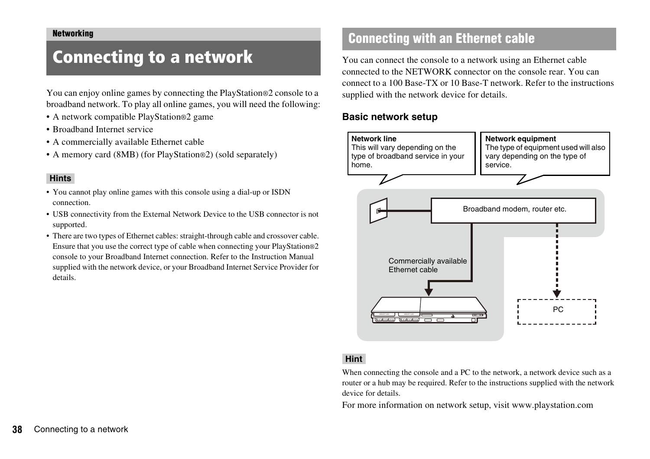# <span id="page-37-2"></span><span id="page-37-1"></span><span id="page-37-0"></span>Connecting to a network

You can enjoy online games by connecting the PlayStation®2 console to a broadband network. To play all online games, you will need the following:

- A network compatible PlayStation®2 game
- Broadband Internet service
- A commercially available Ethernet cable
- A memory card (8MB) (for PlayStation®2) (sold separately)

#### **Hints**

- You cannot play online games with this console using a dial-up or ISDN connection.
- USB connectivity from the External Network Device to the USB connector is not supported.
- There are two types of Ethernet cables: straight-through cable and crossover cable. Ensure that you use the correct type of cable when connecting your PlayStation®2 console to your Broadband Internet connection. Refer to the Instruction Manual supplied with the network device, or your Broadband Internet Service Provider for details.

## **Connecting with an Ethernet cable**

You can connect the console to a network using an Ethernet cable connected to the NETWORK connector on the console rear. You can connect to a 100 Base-TX or 10 Base-T network. Refer to the instructions supplied with the network device for details.

#### **Basic network setup**



#### **Hint**

When connecting the console and a PC to the network, a network device such as a router or a hub may be required. Refer to the instructions supplied with the network device for details.

For more information on network setup, visit www.playstation.com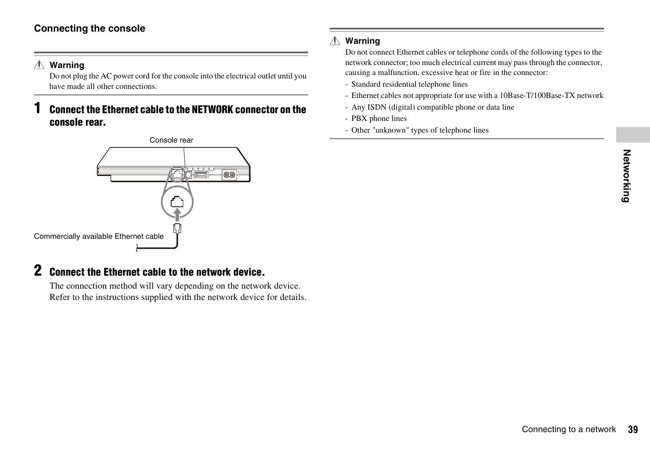### **Connecting the console**

#### **Warning** Æ

Do not plug the AC power cord for the console into the electrical outlet until you have made all other connections.

### **1 Connect the Ethernet cable to the NETWORK connector on the console rear.**



### **2 Connect the Ethernet cable to the network device.**

The connection method will vary depending on the network device. Refer to the instructions supplied with the network device for details.

#### **Warning**

Do not connect Ethernet cables or telephone cords of the following types to the network connector; too much electrical current may pass through the connector, causing a malfunction, excessive heat or fire in the connector:

- Standard residential telephone lines
- Ethernet cables not appropriate for use with a 10Base-T/100Base-TX network
- Any ISDN (digital) compatible phone or data line
- PBX phone lines
- Other "unknown" types of telephone lines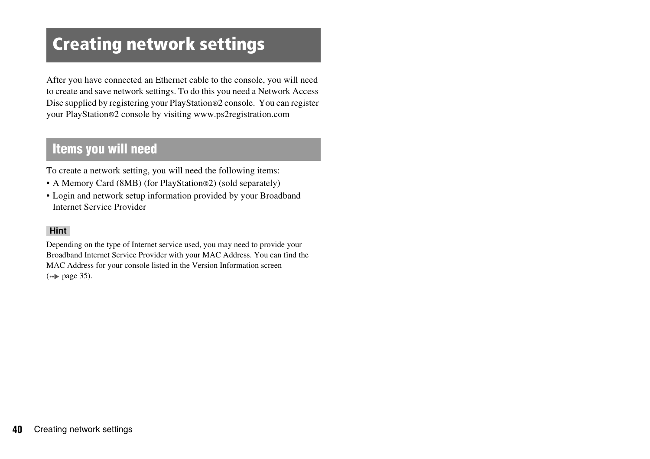# <span id="page-39-0"></span>Creating network settings

After you have connected an Ethernet cable to the console, you will need to create and save network settings. To do this you need a Network Access Disc supplied by registering your PlayStation®2 console. You can register your PlayStation®2 console by visiting www.ps2registration.com

### **Items you will need**

To create a network setting, you will need the following items:

- A Memory Card (8MB) (for PlayStation®2) (sold separately)
- Login and network setup information provided by your Broadband Internet Service Provider

#### **Hint**

Depending on the type of Internet service used, you may need to provide your Broadband Internet Service Provider with your MAC Address. You can find the MAC Address for your console listed in the Version Information screen  $\leftrightarrow$  [page 35](#page-34-2)).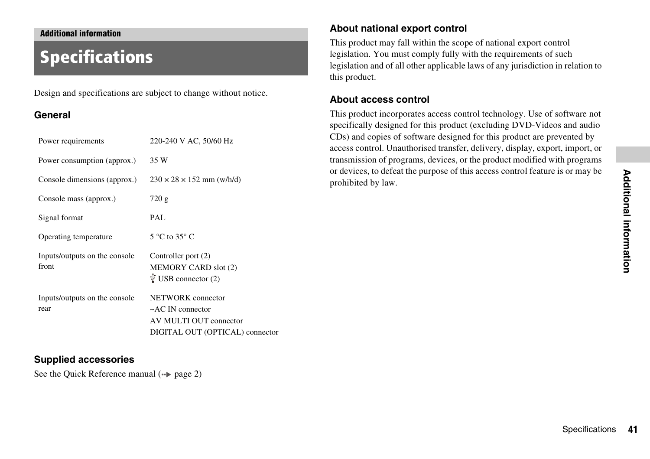#### <span id="page-40-0"></span>**Additional information**

# <span id="page-40-1"></span>Specifications

Design and specifications are subject to change without notice.

#### **General**

| Power requirements                     | 220-240 V AC, 50/60 Hz                                                                                   |
|----------------------------------------|----------------------------------------------------------------------------------------------------------|
| Power consumption (approx.)            | 35 W                                                                                                     |
| Console dimensions (approx.)           | $230 \times 28 \times 152$ mm (w/h/d)                                                                    |
| Console mass (approx.)                 | 720 g                                                                                                    |
| Signal format                          | PAL                                                                                                      |
| Operating temperature                  | $5^{\circ}$ C to $35^{\circ}$ C                                                                          |
| Inputs/outputs on the console<br>front | Controller port (2)<br>MEMORY CARD slot (2)<br>$\overline{\Psi}$ USB connector (2)                       |
| Inputs/outputs on the console<br>rear  | NETWORK connector<br>$\sim$ AC IN connector<br>AV MULTI OUT connector<br>DIGITAL OUT (OPTICAL) connector |

#### **Supplied accessories**

See the Quick Reference manual  $(\rightarrow \rightarrow$  [page 2\)](#page-1-0)

#### **About national export control**

This product may fall within the scope of national export control legislation. You must comply fully with the requirements of such legislation and of all other applicable laws of any jurisdiction in relation to this product.

#### **About access control**

This product incorporates access control technology. Use of software not specifically designed for this product (excluding DVD-Videos and audio CDs) and copies of software designed for this product are prevented by access control. Unauthorised transfer, delivery, display, export, import, or transmission of programs, devices, or the product modified with programs or devices, to defeat the purpose of this access control feature is or may be prohibited by law.